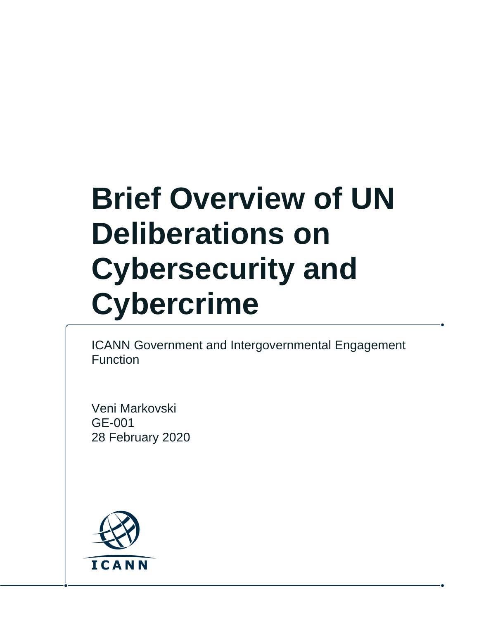# **Brief Overview of UN Deliberations on Cybersecurity and Cybercrime**

ICANN Government and Intergovernmental Engagement Function

Veni Markovski GE-001 28 February 2020

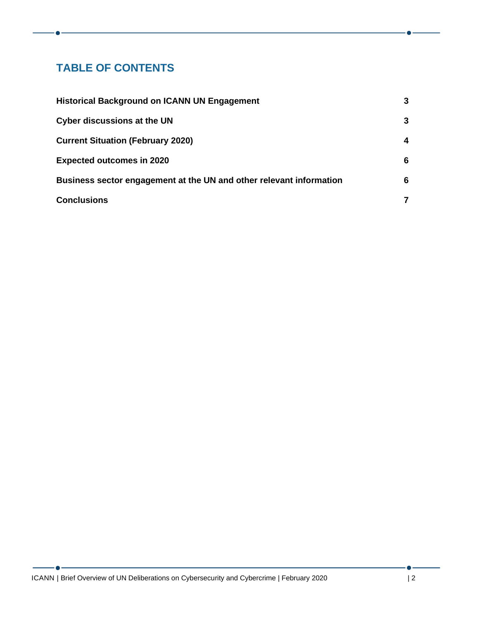## **TABLE OF CONTENTS**

| <b>Historical Background on ICANN UN Engagement</b>                          | 3      |
|------------------------------------------------------------------------------|--------|
| <b>Cyber discussions at the UN</b>                                           | 3      |
| <b>Current Situation (February 2020)</b><br><b>Expected outcomes in 2020</b> | 4<br>6 |
|                                                                              |        |
| <b>Conclusions</b>                                                           | 7      |

 $\bullet$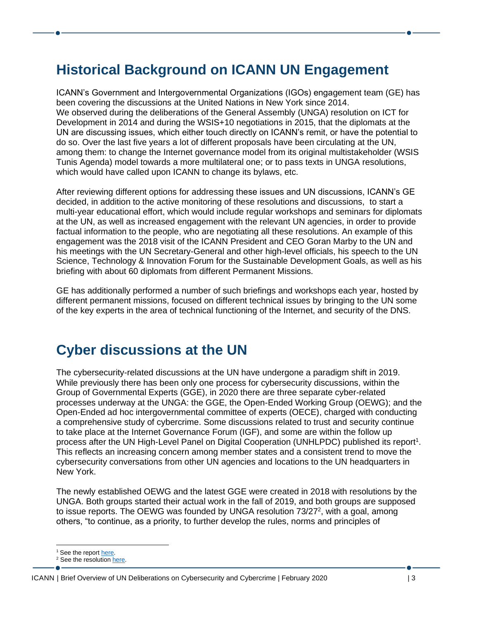# <span id="page-2-0"></span>**Historical Background on ICANN UN Engagement**

ICANN's Government and Intergovernmental Organizations (IGOs) engagement team (GE) has been covering the discussions at the United Nations in New York since 2014. We observed during the deliberations of the General Assembly (UNGA) resolution on ICT for Development in 2014 and during the WSIS+10 negotiations in 2015, that the diplomats at the UN are discussing issues, which either touch directly on ICANN's remit, or have the potential to do so. Over the last five years a lot of different proposals have been circulating at the UN, among them: to change the Internet governance model from its original multistakeholder (WSIS Tunis Agenda) model towards a more multilateral one; or to pass texts in UNGA resolutions, which would have called upon ICANN to change its bylaws, etc.

After reviewing different options for addressing these issues and UN discussions, ICANN's GE decided, in addition to the active monitoring of these resolutions and discussions, to start a multi-year educational effort, which would include regular workshops and seminars for diplomats at the UN, as well as increased engagement with the relevant UN agencies, in order to provide factual information to the people, who are negotiating all these resolutions. An example of this engagement was the 2018 visit of the ICANN President and CEO Goran Marby to the UN and his meetings with the UN Secretary-General and other high-level officials, his speech to the UN Science, Technology & Innovation Forum for the Sustainable Development Goals, as well as his briefing with about 60 diplomats from different Permanent Missions.

GE has additionally performed a number of such briefings and workshops each year, hosted by different permanent missions, focused on different technical issues by bringing to the UN some of the key experts in the area of technical functioning of the Internet, and security of the DNS.

## <span id="page-2-1"></span>**Cyber discussions at the UN**

The cybersecurity-related discussions at the UN have undergone a paradigm shift in 2019. While previously there has been only one process for cybersecurity discussions, within the Group of Governmental Experts (GGE), in 2020 there are three separate cyber-related processes underway at the UNGA: the GGE, the Open-Ended Working Group (OEWG); and the Open-Ended ad hoc intergovernmental committee of experts (OECE), charged with conducting a comprehensive study of cybercrime. Some discussions related to trust and security continue to take place at the Internet Governance Forum (IGF), and some are within the follow up process after the UN High-Level Panel on Digital Cooperation (UNHLPDC) published its report<sup>1</sup>. This reflects an increasing concern among member states and a consistent trend to move the cybersecurity conversations from other UN agencies and locations to the UN headquarters in New York.

The newly established OEWG and the latest GGE were created in 2018 with resolutions by the UNGA. Both groups started their actual work in the fall of 2019, and both groups are supposed to issue reports. The OEWG was founded by UNGA resolution 73/27<sup>2</sup>, with a goal, among others, "to continue, as a priority, to further develop the rules, norms and principles of

<sup>&</sup>lt;sup>1</sup> See the repor[t here.](https://digitalcooperation.org/wp-content/uploads/2019/06/DigitalCooperation-report-web-FINAL-1.pdf)

<sup>&</sup>lt;sup>2</sup> See the resolutio[n here](https://undocs.org/pdf?symbol=en/A/RES/73/27).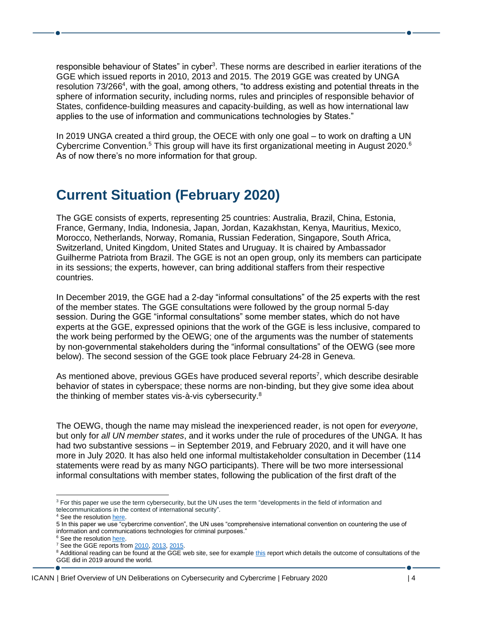responsible behaviour of States" in cyber<sup>3</sup>. These norms are described in earlier iterations of the GGE which issued reports in 2010, 2013 and 2015. The 2019 GGE was created by UNGA resolution 73/266<sup>4</sup>, with the goal, among others, "to address existing and potential threats in the sphere of information security, including norms, rules and principles of responsible behavior of States, confidence-building measures and capacity-building, as well as how international law applies to the use of information and communications technologies by States."

In 2019 UNGA created a third group, the OECE with only one goal – to work on drafting a UN Cybercrime Convention.<sup>5</sup> This group will have its first organizational meeting in August 2020.<sup>6</sup> As of now there's no more information for that group.

## <span id="page-3-0"></span>**Current Situation (February 2020)**

The GGE consists of experts, representing 25 countries: Australia, Brazil, China, Estonia, France, Germany, India, Indonesia, Japan, Jordan, Kazakhstan, Kenya, Mauritius, Mexico, Morocco, Netherlands, Norway, Romania, Russian Federation, Singapore, South Africa, Switzerland, United Kingdom, United States and Uruguay. It is chaired by Ambassador Guilherme Patriota from Brazil. The GGE is not an open group, only its members can participate in its sessions; the experts, however, can bring additional staffers from their respective countries.

In December 2019, the GGE had a 2-day "informal consultations" of the 25 experts with the rest of the member states. The GGE consultations were followed by the group normal 5-day session. During the GGE "informal consultations" some member states, which do not have experts at the GGE, expressed opinions that the work of the GGE is less inclusive, compared to the work being performed by the OEWG; one of the arguments was the number of statements by non-governmental stakeholders during the "informal consultations" of the OEWG (see more below). The second session of the GGE took place February 24-28 in Geneva.

As mentioned above, previous GGEs have produced several reports<sup>7</sup>, which describe desirable behavior of states in cyberspace; these norms are non-binding, but they give some idea about the thinking of member states vis-à-vis cybersecurity.<sup>8</sup>

The OEWG, though the name may mislead the inexperienced reader, is not open for *everyone*, but only for *all UN member states*, and it works under the rule of procedures of the UNGA. It has had two substantive sessions – in September 2019, and February 2020, and it will have one more in July 2020. It has also held one informal multistakeholder consultation in December (114 statements were read by as many NGO participants). There will be two more intersessional informal consultations with member states, following the publication of the first draft of the

<sup>&</sup>lt;sup>3</sup> For this paper we use the term cybersecurity, but the UN uses the term "developments in the field of information and telecommunications in the context of international security". <sup>4</sup> See the resolutio[n here.](https://undocs.org/pdf?symbol=en/A/RES/73/266)

<sup>5</sup> In this paper we use "cybercrime convention", the UN uses "comprehensive international convention on countering the use of information and communications technologies for criminal purposes."

<sup>&</sup>lt;sup>6</sup> See the resolutio[n here.](https://digitallibrary.un.org/record/3847855/files/A_RES_74_247-EN.pdf)

 $7$  See the GGE reports fro[m 2010,](https://undocs.org/A/65/201) [2013,](https://undocs.org/A/68/98) [2015.](https://undocs.org/A/70/174)

<sup>&</sup>lt;sup>8</sup> Additional reading can be found at the GGE web site, see for example [this](https://www.un.org/disarmament/wp-content/uploads/2019/12/collated-summaries-regional-gge-consultations-12-3-2019.pdf) report which details the outcome of consultations of the GGE did in 2019 around the world.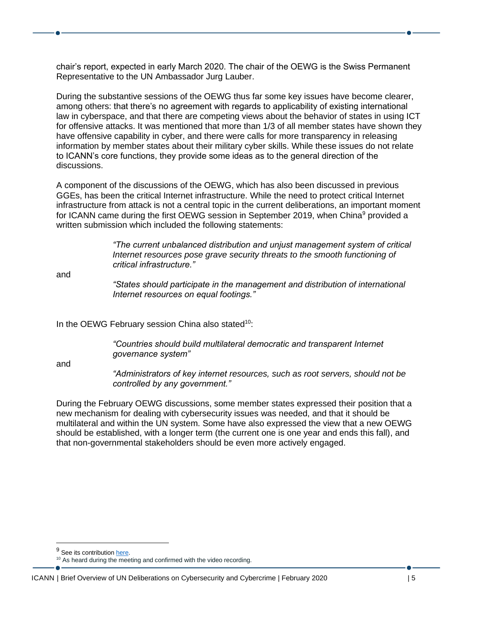chair's report, expected in early March 2020. The chair of the OEWG is the Swiss Permanent Representative to the UN Ambassador Jurg Lauber.

During the substantive sessions of the OEWG thus far some key issues have become clearer, among others: that there's no agreement with regards to applicability of existing international law in cyberspace, and that there are competing views about the behavior of states in using ICT for offensive attacks. It was mentioned that more than 1/3 of all member states have shown they have offensive capability in cyber, and there were calls for more transparency in releasing information by member states about their military cyber skills. While these issues do not relate to ICANN's core functions, they provide some ideas as to the general direction of the discussions.

A component of the discussions of the OEWG, which has also been discussed in previous GGEs, has been the critical Internet infrastructure. While the need to protect critical Internet infrastructure from attack is not a central topic in the current deliberations, an important moment for ICANN came during the first OEWG session in September 2019, when China<sup>9</sup> provided a written submission which included the following statements:

> *"The current unbalanced distribution and unjust management system of critical Internet resources pose grave security threats to the smooth functioning of critical infrastructure."*

and

*"States should participate in the management and distribution of international Internet resources on equal footings."* 

In the OEWG February session China also stated<sup>10</sup>:

*"Countries should build multilateral democratic and transparent Internet governance system"*

and

*"Administrators of key internet resources, such as root servers, should not be controlled by any government."*

During the February OEWG discussions, some member states expressed their position that a new mechanism for dealing with cybersecurity issues was needed, and that it should be multilateral and within the UN system. Some have also expressed the view that a new OEWG should be established, with a longer term (the current one is one year and ends this fall), and that non-governmental stakeholders should be even more actively engaged.

<sup>&</sup>lt;sup>9</sup> See its contributio[n here.](https://unoda-web.s3.amazonaws.com/wp-content/uploads/2019/09/china-submissions-oewg-en.pdf)

<sup>&</sup>lt;sup>10</sup> As heard during the meeting and confirmed with the video recording.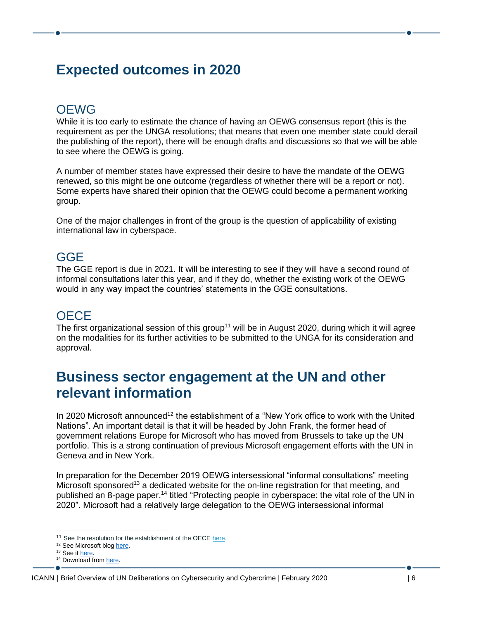## <span id="page-5-0"></span>**Expected outcomes in 2020**

## OEWG

While it is too early to estimate the chance of having an OEWG consensus report (this is the requirement as per the UNGA resolutions; that means that even one member state could derail the publishing of the report), there will be enough drafts and discussions so that we will be able to see where the OEWG is going.

A number of member states have expressed their desire to have the mandate of the OEWG renewed, so this might be one outcome (regardless of whether there will be a report or not). Some experts have shared their opinion that the OEWG could become a permanent working group.

One of the major challenges in front of the group is the question of applicability of existing international law in cyberspace.

#### GGE

The GGE report is due in 2021. It will be interesting to see if they will have a second round of informal consultations later this year, and if they do, whether the existing work of the OEWG would in any way impact the countries' statements in the GGE consultations.

### **OECE**

The first organizational session of this group<sup>11</sup> will be in August 2020, during which it will agree on the modalities for its further activities to be submitted to the UNGA for its consideration and approval.

## <span id="page-5-1"></span>**Business sector engagement at the UN and other relevant information**

In 2020 Microsoft announced<sup>12</sup> the establishment of a "New York office to work with the United Nations". An important detail is that it will be headed by John Frank, the former head of government relations Europe for Microsoft who has moved from Brussels to take up the UN portfolio. This is a strong continuation of previous Microsoft engagement efforts with the UN in Geneva and in New York.

In preparation for the December 2019 OEWG intersessional "informal consultations" meeting Microsoft sponsored<sup>13</sup> a dedicated website for the on-line registration for that meeting, and published an 8-page paper,<sup>14</sup> titled "Protecting people in cyberspace: the vital role of the UN in 2020". Microsoft had a relatively large delegation to the OEWG intersessional informal

<sup>&</sup>lt;sup>11</sup> See the resolution for the establishment of the OEC[E here.](https://undocs.org/en/A/C.3/74/L.11/Rev.1)

<sup>&</sup>lt;sup>12</sup> See Microsoft blo[g here.](https://blogs.microsoft.com/eupolicy/2020/01/17/senior-gov-affairs-leaders-appointed-brussels-new-york/)

<sup>&</sup>lt;sup>13</sup> See it **here**.

<sup>&</sup>lt;sup>14</sup> Download from [here.](https://www.un.org/disarmament/wp-content/uploads/2019/12/protecting-people-in-cyberspace-december-2019.pdf)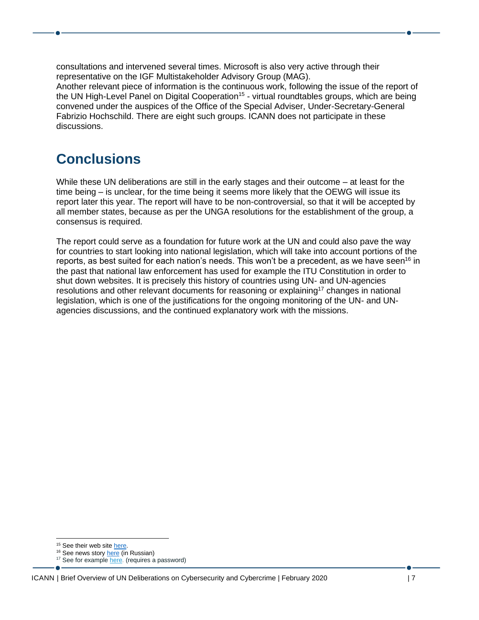consultations and intervened several times. Microsoft is also very active through their representative on the IGF Multistakeholder Advisory Group (MAG). Another relevant piece of information is the continuous work, following the issue of the report of the UN High-Level Panel on Digital Cooperation<sup>15</sup> - virtual roundtables groups, which are being convened under the auspices of the Office of the Special Adviser, Under-Secretary-General Fabrizio Hochschild. There are eight such groups. ICANN does not participate in these discussions.

# <span id="page-6-0"></span>**Conclusions**

While these UN deliberations are still in the early stages and their outcome – at least for the time being – is unclear, for the time being it seems more likely that the OEWG will issue its report later this year. The report will have to be non-controversial, so that it will be accepted by all member states, because as per the UNGA resolutions for the establishment of the group, a consensus is required.

The report could serve as a foundation for future work at the UN and could also pave the way for countries to start looking into national legislation, which will take into account portions of the reports, as best suited for each nation's needs. This won't be a precedent, as we have seen<sup>16</sup> in the past that national law enforcement has used for example the ITU Constitution in order to shut down websites. It is precisely this history of countries using UN- and UN-agencies resolutions and other relevant documents for reasoning or explaining<sup>17</sup> changes in national legislation, which is one of the justifications for the ongoing monitoring of the UN- and UNagencies discussions, and the continued explanatory work with the missions.

<sup>&</sup>lt;sup>15</sup> See their web sit[e here.](https://www.un.org/en/digital-cooperation-panel/)

<sup>&</sup>lt;sup>16</sup> See news story **here** (in Russian)

<sup>&</sup>lt;sup>17</sup> See for exampl[e here.](https://www.itu.int/md/S10-PP-INF-0007/en) (requires a password)